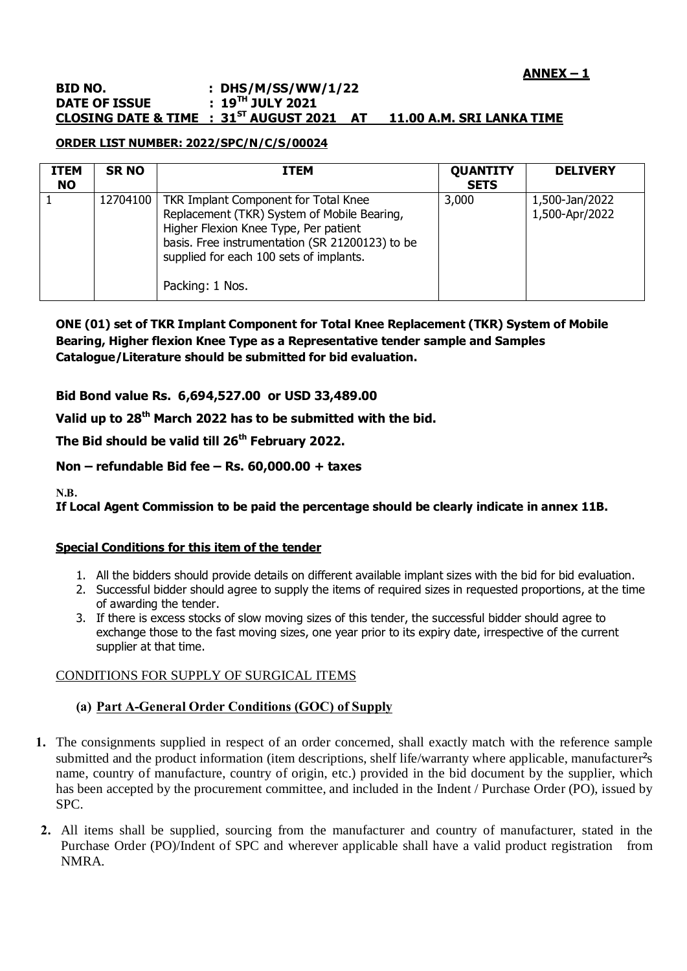# **ANNEX – 1**

### **BID NO. : DHS/M/SS/WW/1/22 DATE OF ISSUE : 19TH JULY 2021 CLOSING DATE & TIME : 31ST AUGUST 2021 AT 11.00 A.M. SRI LANKA TIME**

## **ORDER LIST NUMBER: 2022/SPC/N/C/S/00024**

| <b>ITEM</b><br><b>NO</b> | <b>SR NO</b> | <b>ITEM</b>                                                                                                                                                                                                                                   | <b>QUANTITY</b><br><b>SETS</b> | <b>DELIVERY</b>                  |
|--------------------------|--------------|-----------------------------------------------------------------------------------------------------------------------------------------------------------------------------------------------------------------------------------------------|--------------------------------|----------------------------------|
|                          | 12704100     | TKR Implant Component for Total Knee<br>Replacement (TKR) System of Mobile Bearing,<br>Higher Flexion Knee Type, Per patient<br>basis. Free instrumentation (SR 21200123) to be<br>supplied for each 100 sets of implants.<br>Packing: 1 Nos. | 3,000                          | 1,500-Jan/2022<br>1,500-Apr/2022 |

**ONE (01) set of TKR Implant Component for Total Knee Replacement (TKR) System of Mobile Bearing, Higher flexion Knee Type as a Representative tender sample and Samples Catalogue/Literature should be submitted for bid evaluation.**

## **Bid Bond value Rs. 6,694,527.00 or USD 33,489.00**

**Valid up to 28th March 2022 has to be submitted with the bid.**

**The Bid should be valid till 26th February 2022.**

## **Non – refundable Bid fee – Rs. 60,000.00 + taxes**

**N.B.**

**If Local Agent Commission to be paid the percentage should be clearly indicate in annex 11B.**

## **Special Conditions for this item of the tender**

- 1. All the bidders should provide details on different available implant sizes with the bid for bid evaluation.
- 2. Successful bidder should agree to supply the items of required sizes in requested proportions, at the time of awarding the tender.
- 3. If there is excess stocks of slow moving sizes of this tender, the successful bidder should agree to exchange those to the fast moving sizes, one year prior to its expiry date, irrespective of the current supplier at that time.

# CONDITIONS FOR SUPPLY OF SURGICAL ITEMS

# **(a) Part A-General Order Conditions (GOC) of Supply**

- **1.** The consignments supplied in respect of an order concerned, shall exactly match with the reference sample submitted and the product information (item descriptions, shelf life/warranty where applicable, manufacturer<sup>s</sup> name, country of manufacture, country of origin, etc.) provided in the bid document by the supplier, which has been accepted by the procurement committee, and included in the Indent / Purchase Order (PO), issued by SPC.
- **2.** All items shall be supplied, sourcing from the manufacturer and country of manufacturer, stated in the Purchase Order (PO)/Indent of SPC and wherever applicable shall have a valid product registration from NMRA.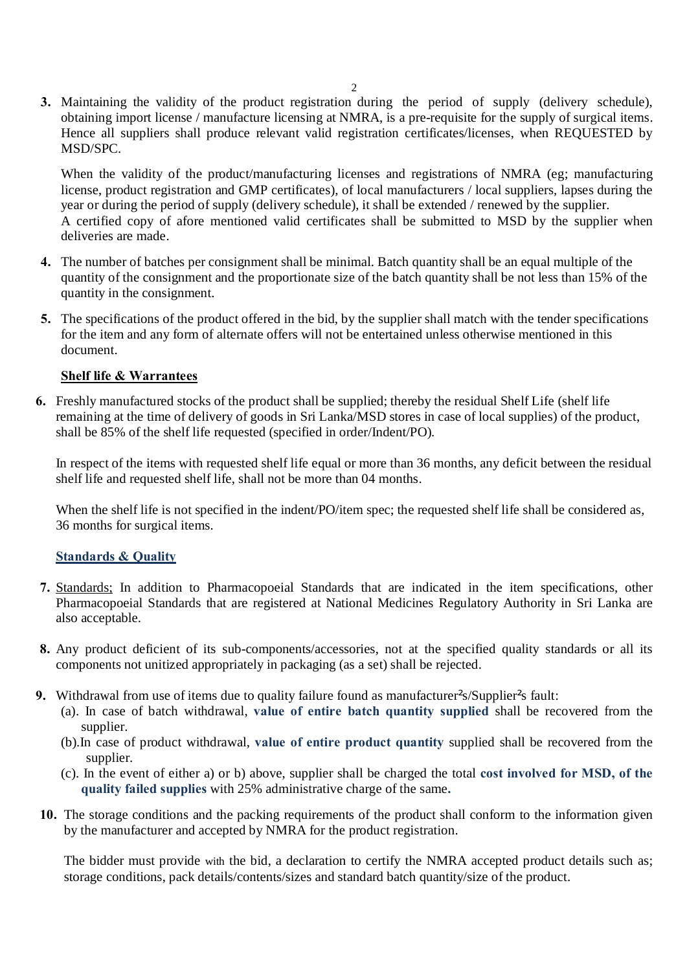**3.** Maintaining the validity of the product registration during the period of supply (delivery schedule), obtaining import license / manufacture licensing at NMRA, is a pre-requisite for the supply of surgical items. Hence all suppliers shall produce relevant valid registration certificates/licenses, when REQUESTED by MSD/SPC.

When the validity of the product/manufacturing licenses and registrations of NMRA (eg; manufacturing license, product registration and GMP certificates), of local manufacturers / local suppliers, lapses during the year or during the period of supply (delivery schedule), it shall be extended / renewed by the supplier. A certified copy of afore mentioned valid certificates shall be submitted to MSD by the supplier when deliveries are made.

- **4.** The number of batches per consignment shall be minimal. Batch quantity shall be an equal multiple of the quantity of the consignment and the proportionate size of the batch quantity shall be not less than 15% of the quantity in the consignment.
- **5.** The specifications of the product offered in the bid, by the supplier shall match with the tender specifications for the item and any form of alternate offers will not be entertained unless otherwise mentioned in this document.

## **Shelf life & Warrantees**

**6.** Freshly manufactured stocks of the product shall be supplied; thereby the residual Shelf Life (shelf life remaining at the time of delivery of goods in Sri Lanka/MSD stores in case of local supplies) of the product, shall be 85% of the shelf life requested (specified in order/Indent/PO).

In respect of the items with requested shelf life equal or more than 36 months, any deficit between the residual shelf life and requested shelf life, shall not be more than 04 months.

When the shelf life is not specified in the indent/PO/item spec; the requested shelf life shall be considered as, 36 months for surgical items.

#### **Standards & Quality**

- **7.** Standards; In addition to Pharmacopoeial Standards that are indicated in the item specifications, other Pharmacopoeial Standards that are registered at National Medicines Regulatory Authority in Sri Lanka are also acceptable.
- **8.** Any product deficient of its sub-components/accessories, not at the specified quality standards or all its components not unitized appropriately in packaging (as a set) shall be rejected.
- **9.** Withdrawal from use of items due to quality failure found as manufacturer<sup>s</sup> Supplier's fault:
	- (a). In case of batch withdrawal, **value of entire batch quantity supplied** shall be recovered from the supplier.
	- (b).In case of product withdrawal, **value of entire product quantity** supplied shall be recovered from the supplier.
	- (c). In the event of either a) or b) above, supplier shall be charged the total **cost involved for MSD, of the quality failed supplies** with 25% administrative charge of the same**.**
- **10.** The storage conditions and the packing requirements of the product shall conform to the information given by the manufacturer and accepted by NMRA for the product registration.

The bidder must provide with the bid, a declaration to certify the NMRA accepted product details such as; storage conditions, pack details/contents/sizes and standard batch quantity/size of the product.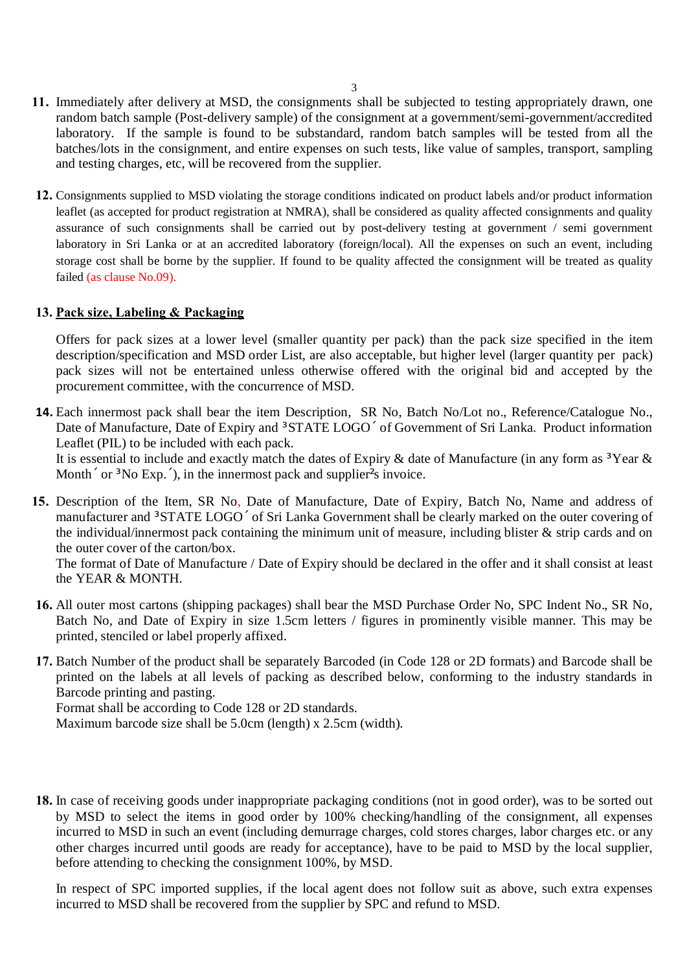- **11.** Immediately after delivery at MSD, the consignments shall be subjected to testing appropriately drawn, one random batch sample (Post-delivery sample) of the consignment at a government/semi-government/accredited laboratory. If the sample is found to be substandard, random batch samples will be tested from all the batches/lots in the consignment, and entire expenses on such tests, like value of samples, transport, sampling and testing charges, etc, will be recovered from the supplier.
- **12.** Consignments supplied to MSD violating the storage conditions indicated on product labels and/or product information leaflet (as accepted for product registration at NMRA), shall be considered as quality affected consignments and quality assurance of such consignments shall be carried out by post-delivery testing at government / semi government laboratory in Sri Lanka or at an accredited laboratory (foreign/local). All the expenses on such an event, including storage cost shall be borne by the supplier. If found to be quality affected the consignment will be treated as quality failed (as clause No.09).

## **13. Pack size, Labeling & Packaging**

Offers for pack sizes at a lower level (smaller quantity per pack) than the pack size specified in the item description/specification and MSD order List, are also acceptable, but higher level (larger quantity per pack) pack sizes will not be entertained unless otherwise offered with the original bid and accepted by the procurement committee, with the concurrence of MSD.

**14.** Each innermost pack shall bear the item Description, SR No, Batch No/Lot no., Reference/Catalogue No., Date of Manufacture, Date of Expiry and · STATE LOGO of Government of Sri Lanka. Product information Leaflet (PIL) to be included with each pack.

It is essential to include and exactly match the dates of Expiry  $\&$  date of Manufacture (in any form as  $\cdot$  Year  $\&$ Month or  $\cdot$  No Exp. ), in the innermost pack and supplier<sup>t</sup>s invoice.

**15.** Description of the Item, SR No, Date of Manufacture, Date of Expiry, Batch No, Name and address of manufacturer and · STATE LOGO of Sri Lanka Government shall be clearly marked on the outer covering of the individual/innermost pack containing the minimum unit of measure, including blister & strip cards and on the outer cover of the carton/box.

The format of Date of Manufacture / Date of Expiry should be declared in the offer and it shall consist at least the YEAR & MONTH.

- **16.** All outer most cartons (shipping packages) shall bear the MSD Purchase Order No, SPC Indent No., SR No, Batch No, and Date of Expiry in size 1.5cm letters / figures in prominently visible manner. This may be printed, stenciled or label properly affixed.
- **17.** Batch Number of the product shall be separately Barcoded (in Code 128 or 2D formats) and Barcode shall be printed on the labels at all levels of packing as described below, conforming to the industry standards in Barcode printing and pasting.

Format shall be according to Code 128 or 2D standards.

Maximum barcode size shall be 5.0cm (length) x 2.5cm (width).

**18.** In case of receiving goods under inappropriate packaging conditions (not in good order), was to be sorted out by MSD to select the items in good order by 100% checking/handling of the consignment, all expenses incurred to MSD in such an event (including demurrage charges, cold stores charges, labor charges etc. or any other charges incurred until goods are ready for acceptance), have to be paid to MSD by the local supplier, before attending to checking the consignment 100%, by MSD.

In respect of SPC imported supplies, if the local agent does not follow suit as above, such extra expenses incurred to MSD shall be recovered from the supplier by SPC and refund to MSD.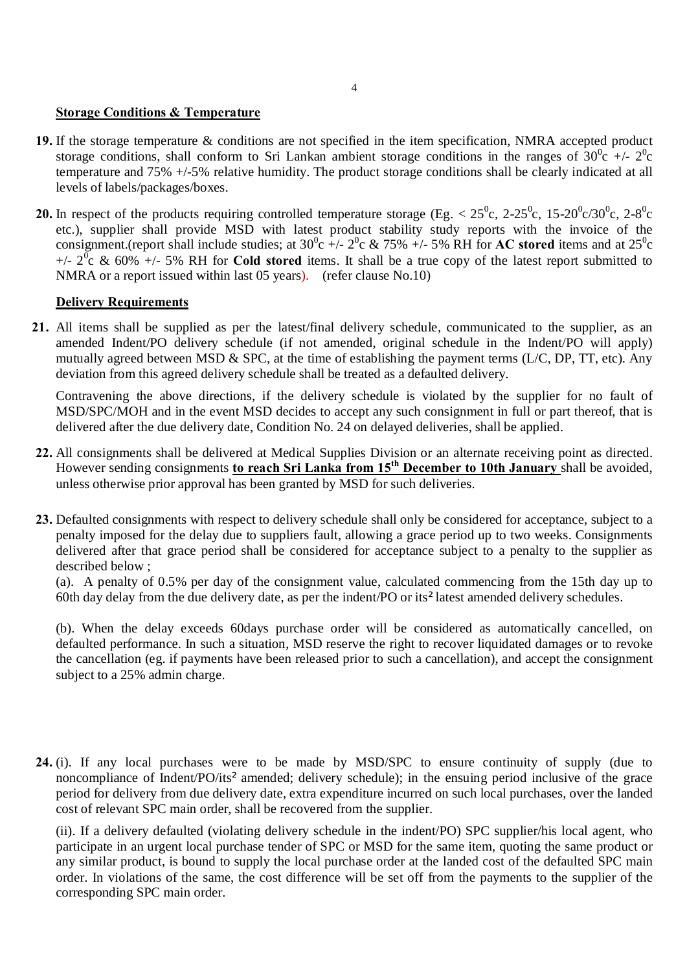## **Storage Conditions & Temperature**

- **19.** If the storage temperature & conditions are not specified in the item specification, NMRA accepted product storage conditions, shall conform to Sri Lankan ambient storage conditions in the ranges of  $30^0c +12^0c$ temperature and 75% +/-5% relative humidity. The product storage conditions shall be clearly indicated at all levels of labels/packages/boxes.
- **20.** In respect of the products requiring controlled temperature storage (Eg.  $< 25^{\circ}$ c, 2-25<sup>°</sup>c, 15-20<sup>°</sup>c/30<sup>°</sup>c, 2-8<sup>°</sup>c etc.), supplier shall provide MSD with latest product stability study reports with the invoice of the consignment.(report shall include studies; at  $30^{\circ}$ c +/-  $2^{\circ}$ c & 75% +/- 5% RH for **AC stored** items and at  $25^{\circ}$ c  $+/- 2^{\overline{0}}c \& 60\% +/- 5\% RH$  for **Cold stored** items. It shall be a true copy of the latest report submitted to NMRA or a report issued within last 05 years). (refer clause No.10)

## **Delivery Requirements**

**21.** All items shall be supplied as per the latest/final delivery schedule, communicated to the supplier, as an amended Indent/PO delivery schedule (if not amended, original schedule in the Indent/PO will apply) mutually agreed between MSD & SPC, at the time of establishing the payment terms (L/C, DP, TT, etc). Any deviation from this agreed delivery schedule shall be treated as a defaulted delivery.

Contravening the above directions, if the delivery schedule is violated by the supplier for no fault of MSD/SPC/MOH and in the event MSD decides to accept any such consignment in full or part thereof, that is delivered after the due delivery date, Condition No. 24 on delayed deliveries, shall be applied.

- **22.** All consignments shall be delivered at Medical Supplies Division or an alternate receiving point as directed. However sending consignments **to reach Sri Lanka from 15th December to 10th January** shall be avoided, unless otherwise prior approval has been granted by MSD for such deliveries.
- **23.** Defaulted consignments with respect to delivery schedule shall only be considered for acceptance, subject to a penalty imposed for the delay due to suppliers fault, allowing a grace period up to two weeks. Consignments delivered after that grace period shall be considered for acceptance subject to a penalty to the supplier as described below ;

(a). A penalty of 0.5% per day of the consignment value, calculated commencing from the 15th day up to 60th day delay from the due delivery date, as per the indent/PO or its¶latest amended delivery schedules.

(b). When the delay exceeds 60days purchase order will be considered as automatically cancelled, on defaulted performance. In such a situation, MSD reserve the right to recover liquidated damages or to revoke the cancellation (eg. if payments have been released prior to such a cancellation), and accept the consignment subject to a 25% admin charge.

**24.** (i). If any local purchases were to be made by MSD/SPC to ensure continuity of supply (due to noncompliance of Indent/PO/its' amended; delivery schedule); in the ensuing period inclusive of the grace period for delivery from due delivery date, extra expenditure incurred on such local purchases, over the landed cost of relevant SPC main order, shall be recovered from the supplier.

(ii). If a delivery defaulted (violating delivery schedule in the indent/PO) SPC supplier/his local agent, who participate in an urgent local purchase tender of SPC or MSD for the same item, quoting the same product or any similar product, is bound to supply the local purchase order at the landed cost of the defaulted SPC main order. In violations of the same, the cost difference will be set off from the payments to the supplier of the corresponding SPC main order.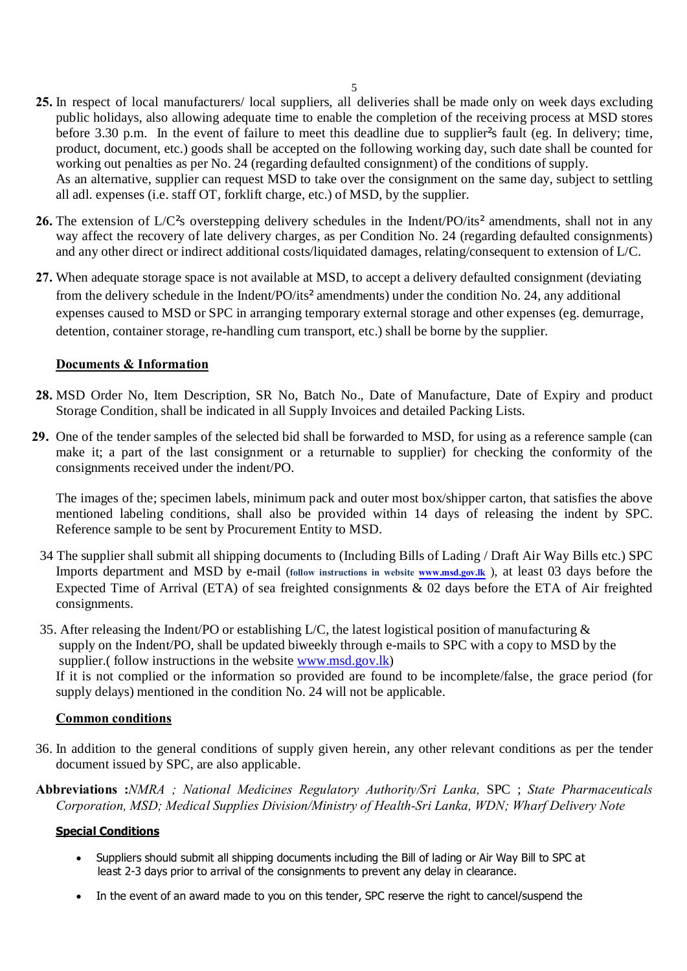- **25.** In respect of local manufacturers/ local suppliers, all deliveries shall be made only on week days excluding public holidays, also allowing adequate time to enable the completion of the receiving process at MSD stores before 3.30 p.m. In the event of failure to meet this deadline due to supplier<sup>'</sup>s fault (eg. In delivery; time, product, document, etc.) goods shall be accepted on the following working day, such date shall be counted for working out penalties as per No. 24 (regarding defaulted consignment) of the conditions of supply. As an alternative, supplier can request MSD to take over the consignment on the same day, subject to settling all adl. expenses (i.e. staff OT, forklift charge, etc.) of MSD, by the supplier.
- **26.** The extension of L/C's overstepping delivery schedules in the Indent/PO/its' amendments, shall not in any way affect the recovery of late delivery charges, as per Condition No. 24 (regarding defaulted consignments) and any other direct or indirect additional costs/liquidated damages, relating/consequent to extension of L/C.
- **27.** When adequate storage space is not available at MSD, to accept a delivery defaulted consignment (deviating from the delivery schedule in the Indent/PO/its¶amendments) under the condition No. 24, any additional expenses caused to MSD or SPC in arranging temporary external storage and other expenses (eg. demurrage, detention, container storage, re-handling cum transport, etc.) shall be borne by the supplier.

## **Documents & Information**

- **28.** MSD Order No, Item Description, SR No, Batch No., Date of Manufacture, Date of Expiry and product Storage Condition, shall be indicated in all Supply Invoices and detailed Packing Lists.
- **29.** One of the tender samples of the selected bid shall be forwarded to MSD, for using as a reference sample (can make it; a part of the last consignment or a returnable to supplier) for checking the conformity of the consignments received under the indent/PO.

The images of the; specimen labels, minimum pack and outer most box/shipper carton, that satisfies the above mentioned labeling conditions, shall also be provided within 14 days of releasing the indent by SPC. Reference sample to be sent by Procurement Entity to MSD.

- 34 The supplier shall submit all shipping documents to (Including Bills of Lading / Draft Air Way Bills etc.) SPC Imports department and MSD by e-mail (**follow instructions in website www.msd.gov.lk** ), at least 03 days before the Expected Time of Arrival (ETA) of sea freighted consignments & 02 days before the ETA of Air freighted consignments.
- 35. After releasing the Indent/PO or establishing [L/C, the latest log](http://www.msd.gov.lk/)istical position of manufacturing & supply on the Indent/PO, shall be updated biweekly through e-mails to SPC with a copy to MSD by the supplier.( follow instructions in the website www.msd.gov.lk) If it is not complied or the information so provided are found to be incomplete/false, the grace period (for

supply delays) mentioned in the condition No. 24 will not be applicable.

#### **Common conditions**

36. In addition to the general conditions of supply given herein, any other relevant conditions as per the tender document issued by SPC, are also applicable.

**Abbreviations :***NMRA ; National Medicines Regulatory Authority/Sri Lanka,* SPC ; *State Pharmaceuticals Corporation, MSD; Medical Supplies Division/Ministry of Health-Sri Lanka, WDN; Wharf Delivery Note* 

#### **Special Conditions**

- · Suppliers should submit all shipping documents including the Bill of lading or Air Way Bill to SPC at least 2-3 days prior to arrival of the consignments to prevent any delay in clearance.
- · In the event of an award made to you on this tender, SPC reserve the right to cancel/suspend the